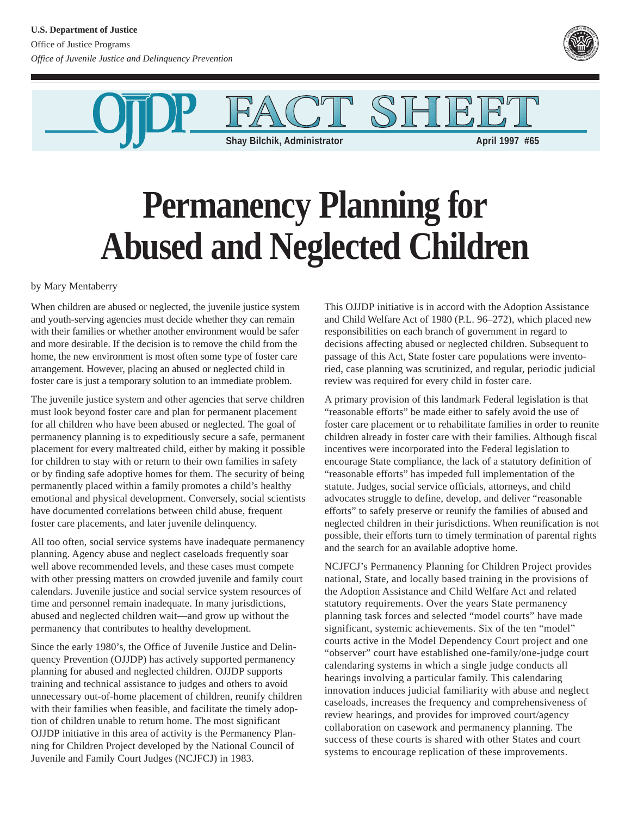

IF.

**Shay Bilchik, Administrator April 1997 #65** 

## **Permanency Planning for Abused and Neglected Children**

by Mary Mentaberry

When children are abused or neglected, the juvenile justice system and youth-serving agencies must decide whether they can remain with their families or whether another environment would be safer and more desirable. If the decision is to remove the child from the home, the new environment is most often some type of foster care arrangement. However, placing an abused or neglected child in foster care is just a temporary solution to an immediate problem.

The juvenile justice system and other agencies that serve children must look beyond foster care and plan for permanent placement for all children who have been abused or neglected. The goal of permanency planning is to expeditiously secure a safe, permanent placement for every maltreated child, either by making it possible for children to stay with or return to their own families in safety or by finding safe adoptive homes for them. The security of being permanently placed within a family promotes a child's healthy emotional and physical development. Conversely, social scientists have documented correlations between child abuse, frequent foster care placements, and later juvenile delinquency.

All too often, social service systems have inadequate permanency planning. Agency abuse and neglect caseloads frequently soar well above recommended levels, and these cases must compete with other pressing matters on crowded juvenile and family court calendars. Juvenile justice and social service system resources of time and personnel remain inadequate. In many jurisdictions, abused and neglected children wait—and grow up without the permanency that contributes to healthy development.

Since the early 1980's, the Office of Juvenile Justice and Delinquency Prevention (OJJDP) has actively supported permanency planning for abused and neglected children. OJJDP supports training and technical assistance to judges and others to avoid unnecessary out-of-home placement of children, reunify children with their families when feasible, and facilitate the timely adoption of children unable to return home. The most significant OJJDP initiative in this area of activity is the Permanency Planning for Children Project developed by the National Council of Juvenile and Family Court Judges (NCJFCJ) in 1983.

This OJJDP initiative is in accord with the Adoption Assistance and Child Welfare Act of 1980 (P.L. 96–272), which placed new responsibilities on each branch of government in regard to decisions affecting abused or neglected children. Subsequent to passage of this Act, State foster care populations were inventoried, case planning was scrutinized, and regular, periodic judicial review was required for every child in foster care.

A primary provision of this landmark Federal legislation is that "reasonable efforts" be made either to safely avoid the use of foster care placement or to rehabilitate families in order to reunite children already in foster care with their families. Although fiscal incentives were incorporated into the Federal legislation to encourage State compliance, the lack of a statutory definition of "reasonable efforts" has impeded full implementation of the statute. Judges, social service officials, attorneys, and child advocates struggle to define, develop, and deliver "reasonable efforts" to safely preserve or reunify the families of abused and neglected children in their jurisdictions. When reunification is not possible, their efforts turn to timely termination of parental rights and the search for an available adoptive home.

NCJFCJ's Permanency Planning for Children Project provides national, State, and locally based training in the provisions of the Adoption Assistance and Child Welfare Act and related statutory requirements. Over the years State permanency planning task forces and selected "model courts" have made significant, systemic achievements. Six of the ten "model" courts active in the Model Dependency Court project and one "observer" court have established one-family/one-judge court calendaring systems in which a single judge conducts all hearings involving a particular family. This calendaring innovation induces judicial familiarity with abuse and neglect caseloads, increases the frequency and comprehensiveness of review hearings, and provides for improved court/agency collaboration on casework and permanency planning. The success of these courts is shared with other States and court systems to encourage replication of these improvements.